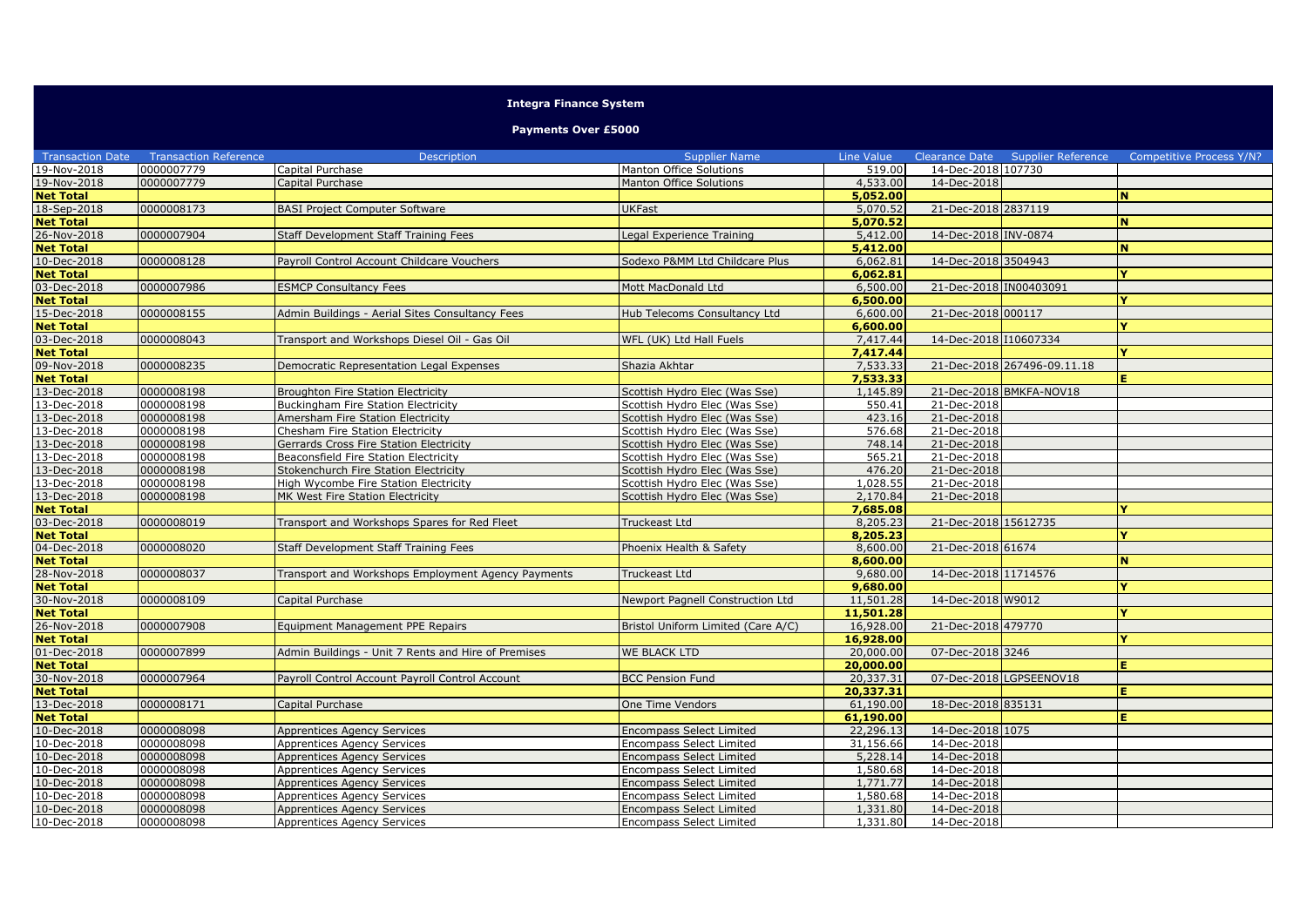## **Integra Finance System**

## **Payments Over £5000**

| <b>Transaction Date</b> | <b>Transaction Reference</b> | <b>Description</b>                                  | <b>Supplier Name</b>               | Line Value |                        | Clearance Date Supplier Reference | Competitive Process Y/N? |
|-------------------------|------------------------------|-----------------------------------------------------|------------------------------------|------------|------------------------|-----------------------------------|--------------------------|
| 19-Nov-2018             | 0000007779                   | Capital Purchase                                    | Manton Office Solutions            | 519.00     | 14-Dec-2018 107730     |                                   |                          |
| 19-Nov-2018             | 0000007779                   | Capital Purchase                                    | Manton Office Solutions            | 4,533.00   | 14-Dec-2018            |                                   |                          |
| <b>Net Total</b>        |                              |                                                     |                                    | 5,052.00   |                        |                                   | N.                       |
| 18-Sep-2018             | 0000008173                   | <b>BASI Project Computer Software</b>               | <b>JKFast</b>                      | 5,070.52   | 21-Dec-2018 2837119    |                                   |                          |
| <b>Net Total</b>        |                              |                                                     |                                    | 5,070.52   |                        |                                   | N                        |
| 26-Nov-2018             | 0000007904                   | Staff Development Staff Training Fees               | egal Experience Training           | 5,412.00   | 14-Dec-2018 INV-0874   |                                   |                          |
| <b>Net Total</b>        |                              |                                                     |                                    | 5,412.00   |                        |                                   | <b>N</b>                 |
| 10-Dec-2018             | 0000008128                   | Payroll Control Account Childcare Vouchers          | Sodexo P&MM Ltd Childcare Plus     | 6,062.81   | 14-Dec-2018 3504943    |                                   |                          |
| <b>Net Total</b>        |                              |                                                     |                                    | 6.062.81   |                        |                                   | Y                        |
| 03-Dec-2018             | 0000007986                   | <b>ESMCP Consultancy Fees</b>                       | Mott MacDonald Ltd                 | 6,500.00   | 21-Dec-2018 IN00403091 |                                   |                          |
| <b>Net Total</b>        |                              |                                                     |                                    | 6,500.00   |                        |                                   | v                        |
| 15-Dec-2018             | 0000008155                   | Admin Buildings - Aerial Sites Consultancy Fees     | Hub Telecoms Consultancy Ltd       | 6,600.00   | 21-Dec-2018 000117     |                                   |                          |
| <b>Net Total</b>        |                              |                                                     |                                    | 6,600.00   |                        |                                   | Y                        |
| 03-Dec-2018             | 0000008043                   | Transport and Workshops Diesel Oil - Gas Oil        | WFL (UK) Ltd Hall Fuels            | 7,417,44   | 14-Dec-2018 I10607334  |                                   |                          |
| <b>Net Total</b>        |                              |                                                     |                                    | 7,417.44   |                        |                                   | Y.                       |
| 09-Nov-2018             | 0000008235                   | Democratic Representation Legal Expenses            | Shazia Akhtar                      | 7,533.33   |                        | 21-Dec-2018 267496-09.11.18       |                          |
| <b>Net Total</b>        |                              |                                                     |                                    | 7,533.33   |                        |                                   | E.                       |
| 13-Dec-2018             | 0000008198                   | <b>Broughton Fire Station Electricity</b>           | Scottish Hydro Elec (Was Sse)      | 1,145.89   |                        | 21-Dec-2018 BMKFA-NOV18           |                          |
| 13-Dec-2018             | 0000008198                   | Buckingham Fire Station Electricity                 | Scottish Hydro Elec (Was Sse)      | 550.41     | 21-Dec-2018            |                                   |                          |
| 13-Dec-2018             | 0000008198                   | Amersham Fire Station Electricity                   | Scottish Hydro Elec (Was Sse)      | 423.16     | 21-Dec-2018            |                                   |                          |
| 13-Dec-2018             | 0000008198                   | Chesham Fire Station Electricity                    | Scottish Hydro Elec (Was Sse)      | 576.68     | 21-Dec-2018            |                                   |                          |
| 13-Dec-2018             | 0000008198                   | Gerrards Cross Fire Station Electricity             | Scottish Hydro Elec (Was Sse)      | 748.14     | 21-Dec-2018            |                                   |                          |
| 13-Dec-2018             | 0000008198                   | Beaconsfield Fire Station Electricity               | Scottish Hydro Elec (Was Sse)      | 565.21     | 21-Dec-2018            |                                   |                          |
| 13-Dec-2018             | 0000008198                   | Stokenchurch Fire Station Electricity               | Scottish Hydro Elec (Was Sse)      | 476.20     | 21-Dec-2018            |                                   |                          |
| 13-Dec-2018             | 0000008198                   | High Wycombe Fire Station Electricity               | Scottish Hydro Elec (Was Sse)      | 1,028.55   | 21-Dec-2018            |                                   |                          |
| 13-Dec-2018             | 0000008198                   | MK West Fire Station Electricity                    | Scottish Hydro Elec (Was Sse)      | 2,170.84   | 21-Dec-2018            |                                   |                          |
| <b>Net Total</b>        |                              |                                                     |                                    | 7,685,08   |                        |                                   |                          |
| 03-Dec-2018             | 0000008019                   | Transport and Workshops Spares for Red Fleet        | Truckeast Ltd                      | 8,205.23   | 21-Dec-2018 15612735   |                                   |                          |
| <b>Net Total</b>        |                              |                                                     |                                    | 8,205.23   |                        |                                   | v                        |
| 04-Dec-2018             | 0000008020                   | Staff Development Staff Training Fees               | Phoenix Health & Safety            | 8,600.00   | 21-Dec-2018 61674      |                                   |                          |
| <b>Net Total</b>        |                              |                                                     |                                    | 8,600,00   |                        |                                   | N.                       |
| 28-Nov-2018             | 0000008037                   | Transport and Workshops Employment Agency Payments  | Truckeast Ltd                      | 9,680.00   | 14-Dec-2018 11714576   |                                   |                          |
| <b>Net Total</b>        |                              |                                                     |                                    | 9,680.00   |                        |                                   | Y                        |
| 30-Nov-2018             | 0000008109                   | Capital Purchase                                    | Newport Pagnell Construction Ltd   | 11,501.28  | 14-Dec-2018 W9012      |                                   |                          |
| <b>Net Total</b>        |                              |                                                     |                                    | 11,501.28  |                        |                                   | Y                        |
| 26-Nov-2018             | 0000007908                   | Equipment Management PPE Repairs                    | Bristol Uniform Limited (Care A/C) | 16,928.00  | 21-Dec-2018 479770     |                                   |                          |
| <b>Net Total</b>        |                              |                                                     |                                    | 16,928.00  |                        |                                   | v                        |
| 01-Dec-2018             | 0000007899                   | Admin Buildings - Unit 7 Rents and Hire of Premises | <b>WE BLACK LTD</b>                | 20,000.00  | 07-Dec-2018 3246       |                                   |                          |
| <b>Net Total</b>        |                              |                                                     |                                    | 20,000.00  |                        |                                   | E.                       |
| 30-Nov-2018             | 0000007964                   | Payroll Control Account Payroll Control Account     | <b>BCC Pension Fund</b>            | 20,337.31  |                        | 07-Dec-2018 LGPSEENOV18           |                          |
| <b>Net Total</b>        |                              |                                                     |                                    | 20,337.31  |                        |                                   | Е.                       |
| 13-Dec-2018             | 0000008171                   | Capital Purchase                                    | One Time Vendors                   | 61,190.00  | 18-Dec-2018 835131     |                                   |                          |
| <b>Net Total</b>        |                              |                                                     |                                    | 61,190.00  |                        |                                   | E.                       |
| 10-Dec-2018             | 0000008098                   | Apprentices Agency Services                         | Encompass Select Limited           | 22,296.13  | 14-Dec-2018 1075       |                                   |                          |
| 10-Dec-2018             | 0000008098                   | Apprentices Agency Services                         | <b>Encompass Select Limited</b>    | 31,156.66  | 14-Dec-2018            |                                   |                          |
| 10-Dec-2018             | 0000008098                   | Apprentices Agency Services                         | <b>Encompass Select Limited</b>    | 5,228.14   | 14-Dec-2018            |                                   |                          |
| 10-Dec-2018             | 0000008098                   | Apprentices Agency Services                         | <b>Encompass Select Limited</b>    | 1,580.68   | 14-Dec-2018            |                                   |                          |
| 10-Dec-2018             | 0000008098                   | <b>Apprentices Agency Services</b>                  | <b>Encompass Select Limited</b>    | 1,771.77   | 14-Dec-2018            |                                   |                          |
| 10-Dec-2018             | 0000008098                   | <b>Apprentices Agency Services</b>                  | <b>Encompass Select Limited</b>    | 1,580.68   | 14-Dec-2018            |                                   |                          |
| 10-Dec-2018             | 0000008098                   | <b>Apprentices Agency Services</b>                  | <b>Encompass Select Limited</b>    | 1,331.80   | 14-Dec-2018            |                                   |                          |
| 10-Dec-2018             | 0000008098                   | <b>Apprentices Agency Services</b>                  | <b>Encompass Select Limited</b>    | 1,331.80   | 14-Dec-2018            |                                   |                          |